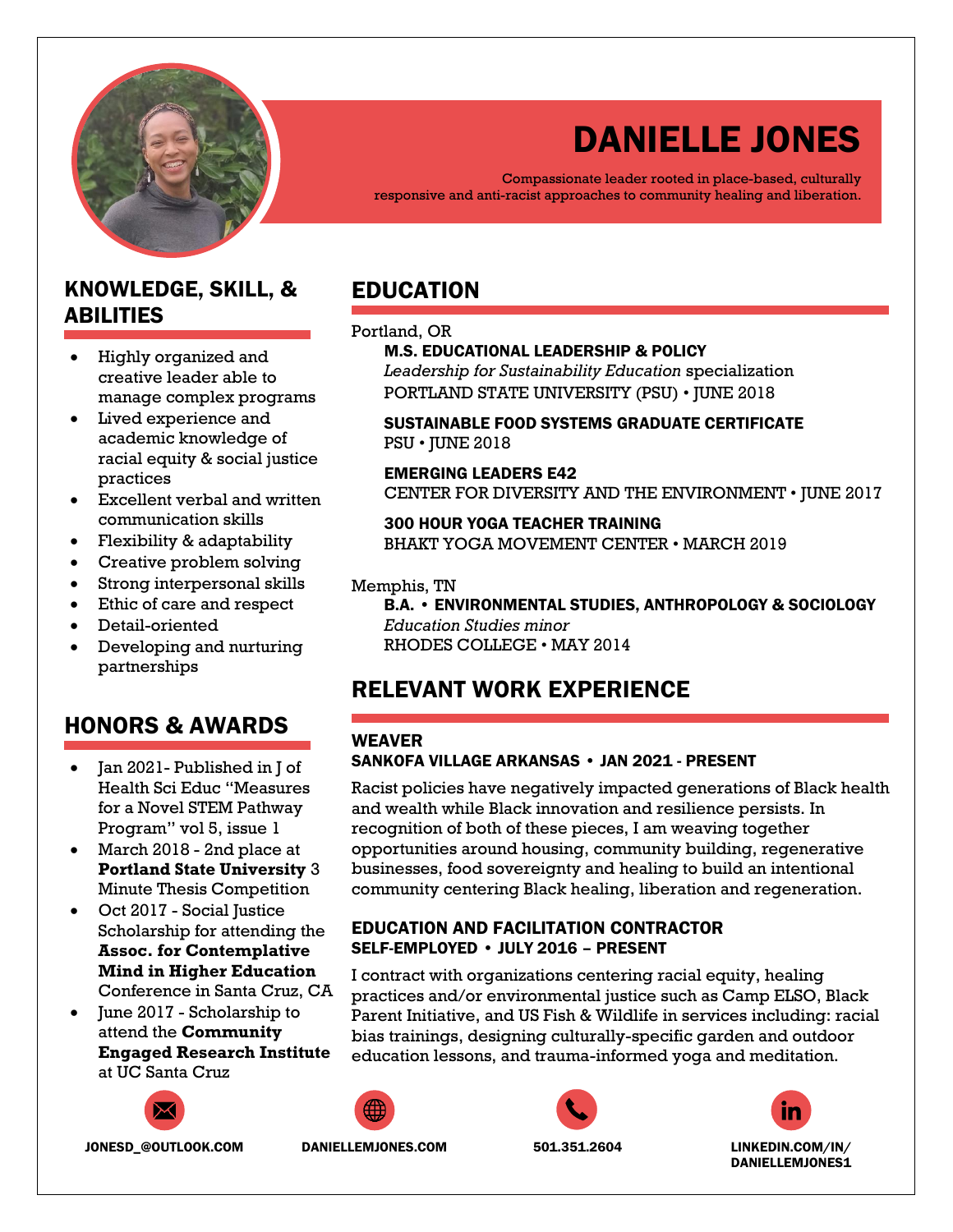

# DANIELLE JONES

Compassionate leader rooted in place-based, culturally responsive and anti-racist approaches to community healing and liberation.

# KNOWLEDGE, SKILL, & ABILITIES

- Highly organized and creative leader able to manage complex programs
- Lived experience and academic knowledge of racial equity & social justice practices
- Excellent verbal and written communication skills
- Flexibility & adaptability
- Creative problem solving
- Strong interpersonal skills
- Ethic of care and respect
- Detail-oriented
- Developing and nurturing partnerships

# HONORS & AWARDS

- Jan 2021- Published in J of Health Sci Educ "Measures for a Novel STEM Pathway Program" vol 5, issue 1
- March 2018 2nd place at **Portland State University** 3 Minute Thesis Competition
- Oct 2017 Social Justice Scholarship for attending the **Assoc. for Contemplative Mind in Higher Education**  Conference in Santa Cruz, CA
- June 2017 Scholarship to attend the **Community Engaged Research Institute** at UC Santa Cruz



JONESD\_@OUTLOOK.COM DANIELLEMJONES.COM 501.351.2604 LINKEDIN.COM/IN/

# EDUCATION

### Portland, OR

#### M.S. EDUCATIONAL LEADERSHIP & POLICY *Leadership for Sustainability Education* specialization PORTLAND STATE UNIVERSITY (PSU) • JUNE 2018

# SUSTAINABLE FOOD SYSTEMS GRADUATE CERTIFICATE PSU • JUNE 2018

# EMERGING LEADERS E42

CENTER FOR DIVERSITY AND THE ENVIRONMENT • JUNE 2017

# 300 HOUR YOGA TEACHER TRAINING BHAKT YOGA MOVEMENT CENTER • MARCH 2019

# Memphis, TN

B.A. • ENVIRONMENTAL STUDIES, ANTHROPOLOGY & SOCIOLOGY *Education Studies minor* RHODES COLLEGE • MAY 2014

# RELEVANT WORK EXPERIENCE

# WEAVER

# SANKOFA VILLAGE ARKANSAS • JAN 2021 - PRESENT

Racist policies have negatively impacted generations of Black health and wealth while Black innovation and resilience persists. In recognition of both of these pieces, I am weaving together opportunities around housing, community building, regenerative businesses, food sovereignty and healing to build an intentional community centering Black healing, liberation and regeneration.

# EDUCATION AND FACILITATION CONTRACTOR SELF-EMPLOYED • JULY 2016 – PRESENT

I contract with organizations centering racial equity, healing practices and/or environmental justice such as Camp ELSO, Black Parent Initiative, and US Fish & Wildlife in services including: racial bias trainings, designing culturally-specific garden and outdoor education lessons, and trauma-informed yoga and meditation.